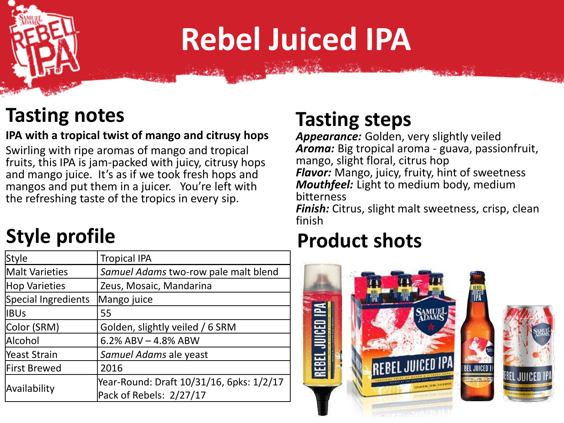# **Rebel Juiced IPA**

#### **Tasting notes**

#### **IPA with a tropical twist of mango and citrusy hops**

Swirling with ripe aromas of mango and tropical fruits, this IPA is jam-packed with juicy, citrusy hops and mango juice. It's as if we took fresh hops and mangos and put them in a juicer. You're left with the refreshing taste of the tropics in every sip.

## **Style profile**

| <b>Style</b>          | <b>Tropical IPA</b>                      |
|-----------------------|------------------------------------------|
| <b>Malt Varieties</b> | Samuel Adams two-row pale malt blend     |
| <b>Hop Varieties</b>  | Zeus, Mosaic, Mandarina                  |
| Special Ingredients   | Mango juice                              |
| <b>IBUs</b>           | 55                                       |
| Color (SRM)           | Golden, slightly veiled / 6 SRM          |
| Alcohol               | 6.2% ABV $-$ 4.8% ABW                    |
| <b>Yeast Strain</b>   | Samuel Adams ale yeast                   |
| <b>First Brewed</b>   | 2016                                     |
| Availability          | Year-Round: Draft 10/31/16, 6pks: 1/2/17 |
|                       | Pack of Rebels: 2/27/17                  |

#### **Tasting steps**

*Appearance:* Golden, very slightly veiled *Aroma:* Big tropical aroma - guava, passionfruit, mango, slight floral, citrus hop *Flavor:* Mango, juicy, fruity, hint of sweetness *Mouthfeel:* Light to medium body, medium bitterness

*Finish:* Citrus, slight malt sweetness, crisp, clean finish

## **Product shots**